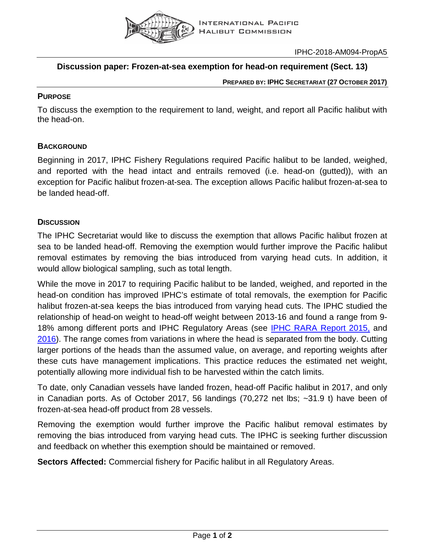

IPHC-2018-AM094-PropA5

# **Discussion paper: Frozen-at-sea exemption for head-on requirement (Sect. 13)**

#### **PREPARED BY: IPHC SECRETARIAT (27 OCTOBER 2017)**

#### **PURPOSE**

To discuss the exemption to the requirement to land, weight, and report all Pacific halibut with the head-on.

## **BACKGROUND**

Beginning in 2017, IPHC Fishery Regulations required Pacific halibut to be landed, weighed, and reported with the head intact and entrails removed (i.e. head-on (gutted)), with an exception for Pacific halibut frozen-at-sea. The exception allows Pacific halibut frozen-at-sea to be landed head-off.

## **DISCUSSION**

The IPHC Secretariat would like to discuss the exemption that allows Pacific halibut frozen at sea to be landed head-off. Removing the exemption would further improve the Pacific halibut removal estimates by removing the bias introduced from varying head cuts. In addition, it would allow biological sampling, such as total length.

While the move in 2017 to requiring Pacific halibut to be landed, weighed, and reported in the head-on condition has improved IPHC's estimate of total removals, the exemption for Pacific halibut frozen-at-sea keeps the bias introduced from varying head cuts. The IPHC studied the relationship of head-on weight to head-off weight between 2013-16 and found a range from 9- 18% among different ports and IPHC Regulatory Areas (see [IPHC RARA Report](http://iphc.int/publications/rara/2015/RARA2015_09Lengthweight.pdf) 2015, and [2016\)](http://iphc.int/publications/rara/2016/IPHC-2016-RARA-26-R-2.8_Analysis_of_length_weight_data.pdf). The range comes from variations in where the head is separated from the body. Cutting larger portions of the heads than the assumed value, on average, and reporting weights after these cuts have management implications. This practice reduces the estimated net weight, potentially allowing more individual fish to be harvested within the catch limits.

To date, only Canadian vessels have landed frozen, head-off Pacific halibut in 2017, and only in Canadian ports. As of October 2017, 56 landings (70,272 net lbs; ~31.9 t) have been of frozen-at-sea head-off product from 28 vessels.

Removing the exemption would further improve the Pacific halibut removal estimates by removing the bias introduced from varying head cuts. The IPHC is seeking further discussion and feedback on whether this exemption should be maintained or removed.

**Sectors Affected:** Commercial fishery for Pacific halibut in all Regulatory Areas.